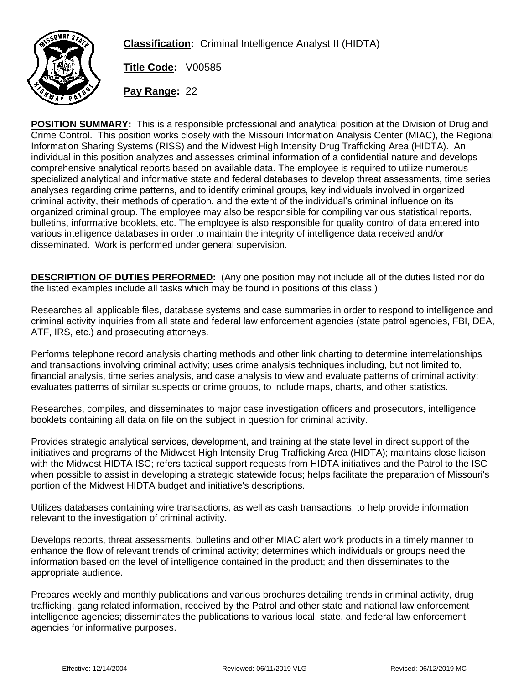

**Classification:** Criminal Intelligence Analyst II (HIDTA)

**Title Code:** V00585

**Pay Range:** 22

**POSITION SUMMARY:** This is a responsible professional and analytical position at the Division of Drug and Crime Control. This position works closely with the Missouri Information Analysis Center (MIAC), the Regional Information Sharing Systems (RISS) and the Midwest High Intensity Drug Trafficking Area (HIDTA). An individual in this position analyzes and assesses criminal information of a confidential nature and develops comprehensive analytical reports based on available data. The employee is required to utilize numerous specialized analytical and informative state and federal databases to develop threat assessments, time series analyses regarding crime patterns, and to identify criminal groups, key individuals involved in organized criminal activity, their methods of operation, and the extent of the individual's criminal influence on its organized criminal group. The employee may also be responsible for compiling various statistical reports, bulletins, informative booklets, etc. The employee is also responsible for quality control of data entered into various intelligence databases in order to maintain the integrity of intelligence data received and/or disseminated. Work is performed under general supervision.

**DESCRIPTION OF DUTIES PERFORMED:** (Any one position may not include all of the duties listed nor do the listed examples include all tasks which may be found in positions of this class.)

Researches all applicable files, database systems and case summaries in order to respond to intelligence and criminal activity inquiries from all state and federal law enforcement agencies (state patrol agencies, FBI, DEA, ATF, IRS, etc.) and prosecuting attorneys.

Performs telephone record analysis charting methods and other link charting to determine interrelationships and transactions involving criminal activity; uses crime analysis techniques including, but not limited to, financial analysis, time series analysis, and case analysis to view and evaluate patterns of criminal activity; evaluates patterns of similar suspects or crime groups, to include maps, charts, and other statistics.

Researches, compiles, and disseminates to major case investigation officers and prosecutors, intelligence booklets containing all data on file on the subject in question for criminal activity.

Provides strategic analytical services, development, and training at the state level in direct support of the initiatives and programs of the Midwest High Intensity Drug Trafficking Area (HIDTA); maintains close liaison with the Midwest HIDTA ISC; refers tactical support requests from HIDTA initiatives and the Patrol to the ISC when possible to assist in developing a strategic statewide focus; helps facilitate the preparation of Missouri's portion of the Midwest HIDTA budget and initiative's descriptions.

Utilizes databases containing wire transactions, as well as cash transactions, to help provide information relevant to the investigation of criminal activity.

Develops reports, threat assessments, bulletins and other MIAC alert work products in a timely manner to enhance the flow of relevant trends of criminal activity; determines which individuals or groups need the information based on the level of intelligence contained in the product; and then disseminates to the appropriate audience.

Prepares weekly and monthly publications and various brochures detailing trends in criminal activity, drug trafficking, gang related information, received by the Patrol and other state and national law enforcement intelligence agencies; disseminates the publications to various local, state, and federal law enforcement agencies for informative purposes.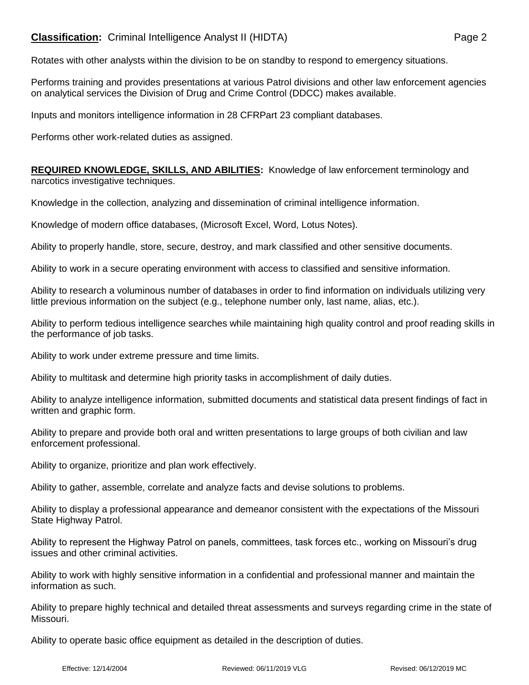## **Classification:** Criminal Intelligence Analyst II (HIDTA) **Page 2** Page 2

Rotates with other analysts within the division to be on standby to respond to emergency situations.

Performs training and provides presentations at various Patrol divisions and other law enforcement agencies on analytical services the Division of Drug and Crime Control (DDCC) makes available.

Inputs and monitors intelligence information in 28 CFRPart 23 compliant databases.

Performs other work-related duties as assigned.

**REQUIRED KNOWLEDGE, SKILLS, AND ABILITIES:** Knowledge of law enforcement terminology and narcotics investigative techniques.

Knowledge in the collection, analyzing and dissemination of criminal intelligence information.

Knowledge of modern office databases, (Microsoft Excel, Word, Lotus Notes).

Ability to properly handle, store, secure, destroy, and mark classified and other sensitive documents.

Ability to work in a secure operating environment with access to classified and sensitive information.

Ability to research a voluminous number of databases in order to find information on individuals utilizing very little previous information on the subject (e.g., telephone number only, last name, alias, etc.).

Ability to perform tedious intelligence searches while maintaining high quality control and proof reading skills in the performance of job tasks.

Ability to work under extreme pressure and time limits.

Ability to multitask and determine high priority tasks in accomplishment of daily duties.

Ability to analyze intelligence information, submitted documents and statistical data present findings of fact in written and graphic form.

Ability to prepare and provide both oral and written presentations to large groups of both civilian and law enforcement professional.

Ability to organize, prioritize and plan work effectively.

Ability to gather, assemble, correlate and analyze facts and devise solutions to problems.

Ability to display a professional appearance and demeanor consistent with the expectations of the Missouri State Highway Patrol.

Ability to represent the Highway Patrol on panels, committees, task forces etc., working on Missouri's drug issues and other criminal activities.

Ability to work with highly sensitive information in a confidential and professional manner and maintain the information as such.

Ability to prepare highly technical and detailed threat assessments and surveys regarding crime in the state of Missouri.

Ability to operate basic office equipment as detailed in the description of duties.